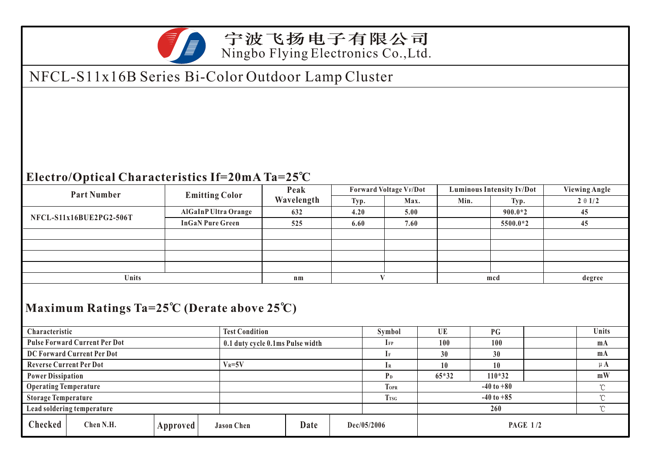

### 宁波飞扬电子有限公司 Ningbo Flying Electronics Co.,Ltd.

# NFCL-S11x16B Series Bi-Color Outdoor Lamp Cluster

#### **Electro/Optical Characteristics If=20mA Ta=25 C**

| <b>Part Number</b>                                                                 |            | <b>Emitting Color</b>            |                   | Peak       |                          |             | <b>Forward Voltage VF/Dot</b>  |          | <b>Luminous Intensity Iv/Dot</b> |                |  | <b>Viewing Angle</b> |  |
|------------------------------------------------------------------------------------|------------|----------------------------------|-------------------|------------|--------------------------|-------------|--------------------------------|----------|----------------------------------|----------------|--|----------------------|--|
|                                                                                    |            |                                  |                   | Wavelength |                          | Typ.        | Max.                           |          | Min.<br>Typ.                     |                |  | $2 \theta 1/2$       |  |
| NFCL-S11x16BUE2PG2-506T                                                            |            | AlGaInP Ultra Orange             |                   |            | 632                      | 4.20        | 5.00                           |          |                                  | $900.0*2$      |  | 45                   |  |
|                                                                                    |            | <b>InGaN Pure Green</b>          |                   |            | 525                      | 6.60        | 7.60                           |          |                                  | 5500.0*2       |  | 45                   |  |
|                                                                                    |            |                                  |                   |            |                          |             |                                |          |                                  |                |  |                      |  |
|                                                                                    |            |                                  |                   |            |                          |             |                                |          |                                  |                |  |                      |  |
|                                                                                    |            |                                  |                   |            |                          |             |                                |          |                                  |                |  |                      |  |
|                                                                                    |            |                                  |                   |            |                          |             |                                |          |                                  |                |  |                      |  |
| Units                                                                              |            |                                  |                   | $n_{m}$    |                          |             | V                              |          | mcd                              |                |  | degree               |  |
| Maximum Ratings Ta= $25^{\circ}$ C (Derate above $25^{\circ}$ C)<br>Characteristic |            | <b>Test Condition</b>            |                   |            | Symbol                   | UE          |                                | PG       |                                  | <b>Units</b>   |  |                      |  |
| <b>Pulse Forward Current Per Dot</b>                                               |            | 0.1 duty cycle 0.1ms Pulse width |                   |            | $\mathbf{I}_{\text{FP}}$ | 100         |                                | 100      |                                  | m <sub>A</sub> |  |                      |  |
| DC Forward Current Per Dot                                                         |            |                                  |                   |            | $I_{\rm F}$              | 30          |                                | 30       |                                  |                |  |                      |  |
| <b>Reverse Current Per Dot</b>                                                     | $V_R = 5V$ |                                  |                   |            | $I_{R}$                  | 10          |                                | 10       |                                  | $\mu$ A        |  |                      |  |
| <b>Power Dissipation</b>                                                           |            |                                  |                   |            | P <sub>D</sub>           | $65*32$     |                                | $110*32$ |                                  | mW             |  |                      |  |
| <b>Operating Temperature</b>                                                       |            |                                  |                   |            | <b>TOPR</b>              |             | $-40$ to $+80$<br>$\mathrm{C}$ |          |                                  |                |  |                      |  |
| <b>Storage Temperature</b>                                                         |            |                                  |                   |            | <b>TrsG</b>              |             | $^{\circ}$ C<br>$-40$ to $+85$ |          |                                  |                |  |                      |  |
| Lead soldering temperature                                                         |            |                                  |                   |            |                          |             |                                | 260      |                                  | $\mathrm{C}$   |  |                      |  |
| Checked<br>Chen N.H.                                                               |            | Approved                         | <b>Jason Chen</b> |            | Date                     | Dec/05/2006 |                                |          | <b>PAGE 1/2</b>                  |                |  |                      |  |